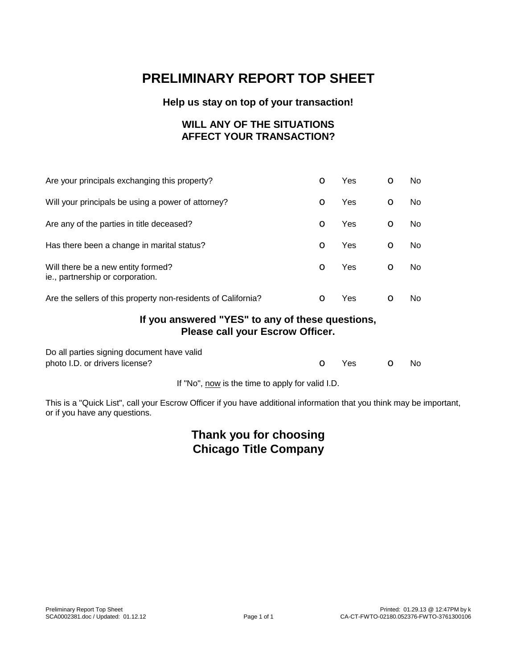# **PRELIMINARY REPORT TOP SHEET**

## **Help us stay on top of your transaction!**

## **WILL ANY OF THE SITUATIONS AFFECT YOUR TRANSACTION?**

| Are your principals exchanging this property?                          |   | Yes |   | No. |
|------------------------------------------------------------------------|---|-----|---|-----|
| Will your principals be using a power of attorney?                     | ∩ | Yes | ∩ | No. |
| Are any of the parties in title deceased?                              | ∩ | Yes |   | No. |
| Has there been a change in marital status?                             | ∩ | Yes | ∩ | No. |
| Will there be a new entity formed?<br>ie., partnership or corporation. | ∩ | Yes | ∩ | No. |
| Are the sellers of this property non-residents of California?          |   | Yes |   | No. |

## **If you answered "YES" to any of these questions, Please call your Escrow Officer.**

| Do all parties signing document have valid |       |      |  |
|--------------------------------------------|-------|------|--|
| photo I.D. or drivers license?             | O Yes | O No |  |

If "No", now is the time to apply for valid I.D.

This is a "Quick List", call your Escrow Officer if you have additional information that you think may be important, or if you have any questions.

## **Thank you for choosing Chicago Title Company**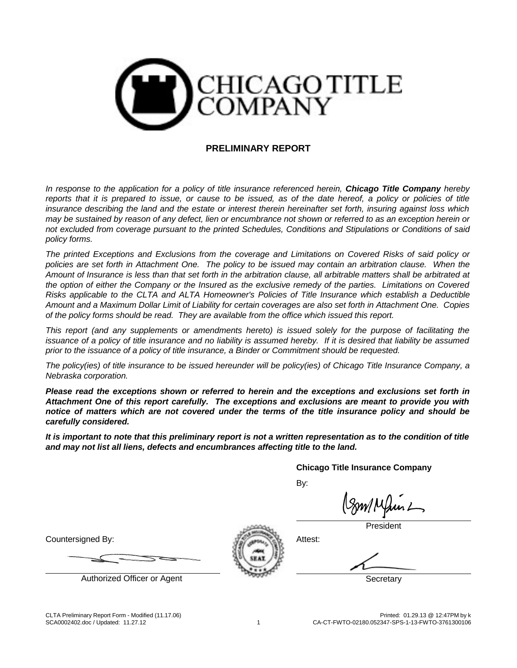

## **PRELIMINARY REPORT**

*In response to the application for a policy of title insurance referenced herein, Chicago Title Company hereby reports that it is prepared to issue, or cause to be issued, as of the date hereof, a policy or policies of title insurance describing the land and the estate or interest therein hereinafter set forth, insuring against loss which may be sustained by reason of any defect, lien or encumbrance not shown or referred to as an exception herein or not excluded from coverage pursuant to the printed Schedules, Conditions and Stipulations or Conditions of said policy forms.*

*The printed Exceptions and Exclusions from the coverage and Limitations on Covered Risks of said policy or policies are set forth in Attachment One. The policy to be issued may contain an arbitration clause. When the Amount of Insurance is less than that set forth in the arbitration clause, all arbitrable matters shall be arbitrated at the option of either the Company or the Insured as the exclusive remedy of the parties. Limitations on Covered Risks applicable to the CLTA and ALTA Homeowner's Policies of Title Insurance which establish a Deductible Amount and a Maximum Dollar Limit of Liability for certain coverages are also set forth in Attachment One. Copies of the policy forms should be read. They are available from the office which issued this report.*

*This report (and any supplements or amendments hereto) is issued solely for the purpose of facilitating the issuance of a policy of title insurance and no liability is assumed hereby. If it is desired that liability be assumed prior to the issuance of a policy of title insurance, a Binder or Commitment should be requested.*

*The policy(ies) of title insurance to be issued hereunder will be policy(ies) of Chicago Title Insurance Company, a Nebraska corporation.*

*Please read the exceptions shown or referred to herein and the exceptions and exclusions set forth in Attachment One of this report carefully. The exceptions and exclusions are meant to provide you with notice of matters which are not covered under the terms of the title insurance policy and should be carefully considered.*

*It is important to note that this preliminary report is not a written representation as to the condition of title and may not list all liens, defects and encumbrances affecting title to the land.*

**Chicago Title Insurance Company**

By:

Attest:

President

Secretary

Countersigned By:

Authorized Officer or Agent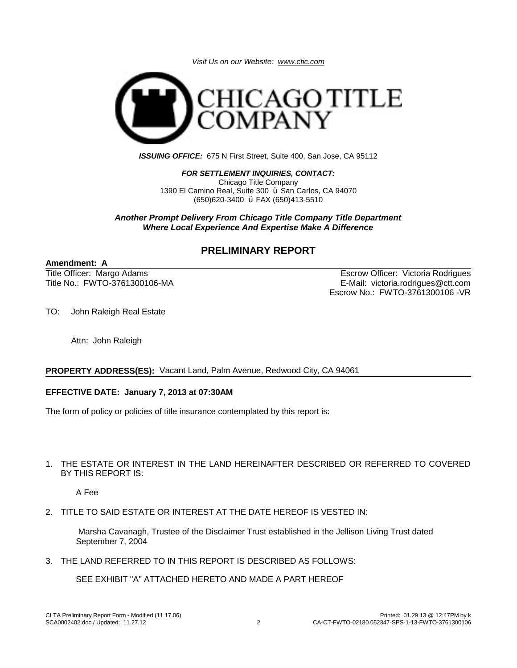*Visit Us on our Website: www.ctic.com*



*ISSUING OFFICE:* 675 N First Street, Suite 400, San Jose, CA 95112

*FOR SETTLEMENT INQUIRIES, CONTACT:* Chicago Title Company 1390 El Camino Real, Suite 300 Ÿ San Carlos, CA 94070 (650)620-3400 Ÿ FAX (650)413-5510

*Another Prompt Delivery From Chicago Title Company Title Department Where Local Experience And Expertise Make A Difference*

## **PRELIMINARY REPORT**

## **Amendment: A**

Title Officer: Margo Adams Title No.: FWTO-3761300106-MA

Escrow Officer: Victoria Rodrigues E-Mail: victoria.rodrigues@ctt.com Escrow No.: FWTO-3761300106 -VR

TO: John Raleigh Real Estate

Attn: John Raleigh

**PROPERTY ADDRESS(ES):** Vacant Land, Palm Avenue, Redwood City, CA 94061

## **EFFECTIVE DATE: January 7, 2013 at 07:30AM**

The form of policy or policies of title insurance contemplated by this report is:

## 1. THE ESTATE OR INTEREST IN THE LAND HEREINAFTER DESCRIBED OR REFERRED TO COVERED BY THIS REPORT IS:

A Fee

2. TITLE TO SAID ESTATE OR INTEREST AT THE DATE HEREOF IS VESTED IN:

Marsha Cavanagh, Trustee of the Disclaimer Trust established in the Jellison Living Trust dated September 7, 2004

3. THE LAND REFERRED TO IN THIS REPORT IS DESCRIBED AS FOLLOWS:

SEE EXHIBIT "A" ATTACHED HERETO AND MADE A PART HEREOF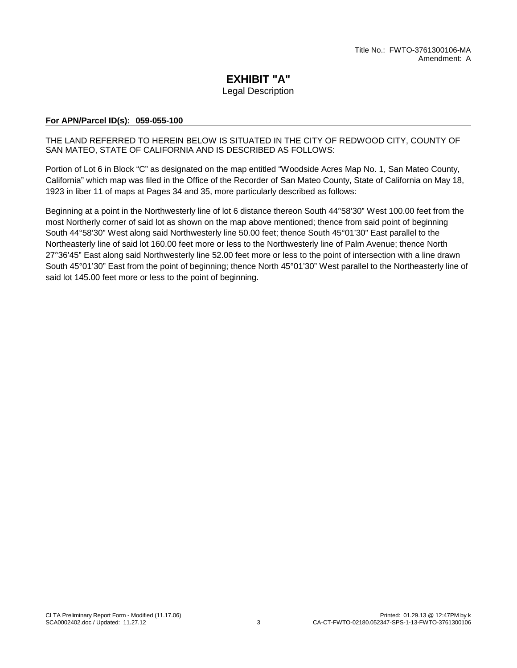# **EXHIBIT "A"**

## Legal Description

## **For APN/Parcel ID(s): 059-055-100**

## THE LAND REFERRED TO HEREIN BELOW IS SITUATED IN THE CITY OF REDWOOD CITY, COUNTY OF SAN MATEO, STATE OF CALIFORNIA AND IS DESCRIBED AS FOLLOWS:

Portion of Lot 6 in Block "C" as designated on the map entitled "Woodside Acres Map No. 1, San Mateo County, California" which map was filed in the Office of the Recorder of San Mateo County, State of California on May 18, 1923 in liber 11 of maps at Pages 34 and 35, more particularly described as follows:

Beginning at a point in the Northwesterly line of lot 6 distance thereon South 44°58'30" West 100.00 feet from the most Northerly corner of said lot as shown on the map above mentioned; thence from said point of beginning South 44°58'30" West along said Northwesterly line 50.00 feet; thence South 45°01'30" East parallel to the Northeasterly line of said lot 160.00 feet more or less to the Northwesterly line of Palm Avenue; thence North 27°36'45" East along said Northwesterly line 52.00 feet more or less to the point of intersection with a line drawn South 45°01'30" East from the point of beginning; thence North 45°01'30" West parallel to the Northeasterly line of said lot 145.00 feet more or less to the point of beginning.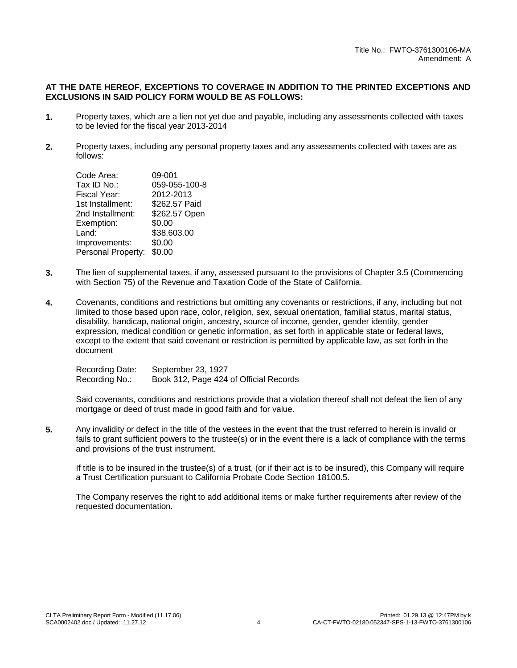## **AT THE DATE HEREOF, EXCEPTIONS TO COVERAGE IN ADDITION TO THE PRINTED EXCEPTIONS AND EXCLUSIONS IN SAID POLICY FORM WOULD BE AS FOLLOWS:**

- **1.** Property taxes, which are a lien not yet due and payable, including any assessments collected with taxes to be levied for the fiscal year 2013-2014
- **2.** Property taxes, including any personal property taxes and any assessments collected with taxes are as follows:

| Code Area:         | 09-001        |
|--------------------|---------------|
| Tax ID No.:        | 059-055-100-8 |
| Fiscal Year:       | 2012-2013     |
| 1st Installment:   | \$262.57 Paid |
| 2nd Installment:   | \$262.57 Open |
| Exemption:         | \$0.00        |
| Land:              | \$38,603.00   |
| Improvements:      | \$0.00        |
| Personal Property: | \$0.00        |
|                    |               |

- **3.** The lien of supplemental taxes, if any, assessed pursuant to the provisions of Chapter 3.5 (Commencing with Section 75) of the Revenue and Taxation Code of the State of California.
- **4.** Covenants, conditions and restrictions but omitting any covenants or restrictions, if any, including but not limited to those based upon race, color, religion, sex, sexual orientation, familial status, marital status, disability, handicap, national origin, ancestry, source of income, gender, gender identity, gender expression, medical condition or genetic information, as set forth in applicable state or federal laws, except to the extent that said covenant or restriction is permitted by applicable law, as set forth in the document

| Recording Date: | September 23, 1927                     |
|-----------------|----------------------------------------|
| Recording No.:  | Book 312, Page 424 of Official Records |

Said covenants, conditions and restrictions provide that a violation thereof shall not defeat the lien of any mortgage or deed of trust made in good faith and for value.

**5.** Any invalidity or defect in the title of the vestees in the event that the trust referred to herein is invalid or fails to grant sufficient powers to the trustee(s) or in the event there is a lack of compliance with the terms and provisions of the trust instrument.

If title is to be insured in the trustee(s) of a trust, (or if their act is to be insured), this Company will require a Trust Certification pursuant to California Probate Code Section 18100.5.

The Company reserves the right to add additional items or make further requirements after review of the requested documentation.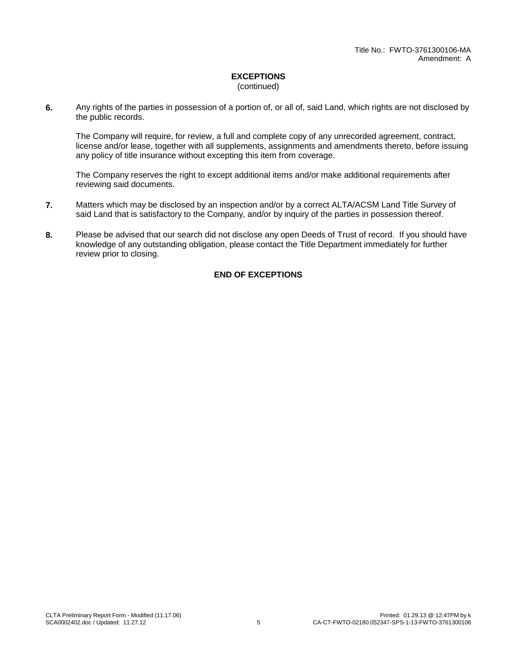## **EXCEPTIONS**

(continued)

**6.** Any rights of the parties in possession of a portion of, or all of, said Land, which rights are not disclosed by the public records.

The Company will require, for review, a full and complete copy of any unrecorded agreement, contract, license and/or lease, together with all supplements, assignments and amendments thereto, before issuing any policy of title insurance without excepting this item from coverage.

The Company reserves the right to except additional items and/or make additional requirements after reviewing said documents.

- **7.** Matters which may be disclosed by an inspection and/or by a correct ALTA/ACSM Land Title Survey of said Land that is satisfactory to the Company, and/or by inquiry of the parties in possession thereof.
- **8.** Please be advised that our search did not disclose any open Deeds of Trust of record. If you should have knowledge of any outstanding obligation, please contact the Title Department immediately for further review prior to closing.

## **END OF EXCEPTIONS**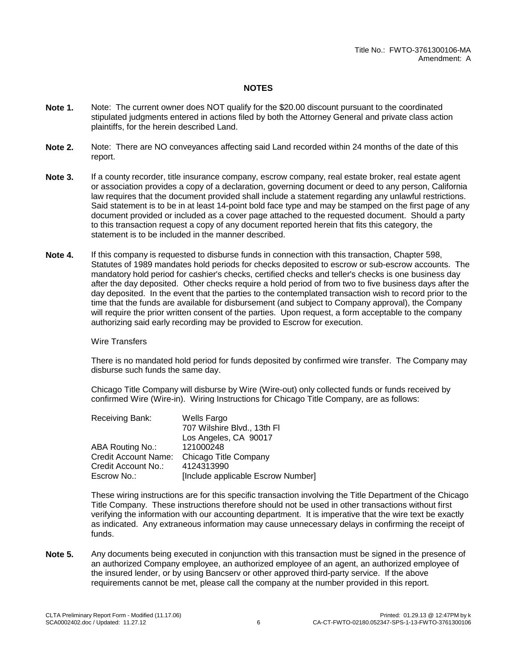## **NOTES**

- **Note 1.** Note: The current owner does NOT qualify for the \$20.00 discount pursuant to the coordinated stipulated judgments entered in actions filed by both the Attorney General and private class action plaintiffs, for the herein described Land.
- **Note 2.** Note: There are NO conveyances affecting said Land recorded within 24 months of the date of this report.
- Note 3. If a county recorder, title insurance company, escrow company, real estate broker, real estate agent or association provides a copy of a declaration, governing document or deed to any person, California law requires that the document provided shall include a statement regarding any unlawful restrictions. Said statement is to be in at least 14-point bold face type and may be stamped on the first page of any document provided or included as a cover page attached to the requested document. Should a party to this transaction request a copy of any document reported herein that fits this category, the statement is to be included in the manner described.
- **Note 4.** If this company is requested to disburse funds in connection with this transaction, Chapter 598, Statutes of 1989 mandates hold periods for checks deposited to escrow or sub-escrow accounts. The mandatory hold period for cashier's checks, certified checks and teller's checks is one business day after the day deposited. Other checks require a hold period of from two to five business days after the day deposited. In the event that the parties to the contemplated transaction wish to record prior to the time that the funds are available for disbursement (and subject to Company approval), the Company will require the prior written consent of the parties. Upon request, a form acceptable to the company authorizing said early recording may be provided to Escrow for execution.

## Wire Transfers

There is no mandated hold period for funds deposited by confirmed wire transfer. The Company may disburse such funds the same day.

Chicago Title Company will disburse by Wire (Wire-out) only collected funds or funds received by confirmed Wire (Wire-in). Wiring Instructions for Chicago Title Company, are as follows:

| Receiving Bank:             | Wells Fargo                        |
|-----------------------------|------------------------------------|
|                             | 707 Wilshire Blvd., 13th Fl        |
|                             | Los Angeles, CA 90017              |
| ABA Routing No.:            | 121000248                          |
| <b>Credit Account Name:</b> | Chicago Title Company              |
| Credit Account No.:         | 4124313990                         |
| Escrow No.:                 | [Include applicable Escrow Number] |

These wiring instructions are for this specific transaction involving the Title Department of the Chicago Title Company. These instructions therefore should not be used in other transactions without first verifying the information with our accounting department. It is imperative that the wire text be exactly as indicated. Any extraneous information may cause unnecessary delays in confirming the receipt of funds.

**Note 5.** Any documents being executed in conjunction with this transaction must be signed in the presence of an authorized Company employee, an authorized employee of an agent, an authorized employee of the insured lender, or by using Bancserv or other approved third-party service. If the above requirements cannot be met, please call the company at the number provided in this report.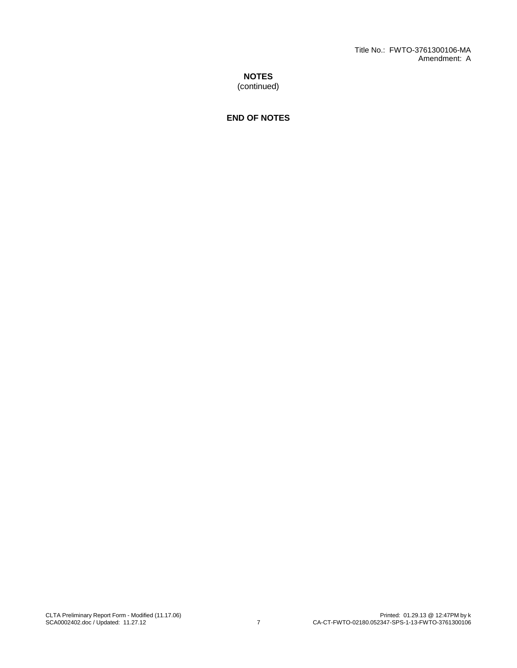Title No.: FWTO-3761300106-MA Amendment: A

**NOTES** (continued)

**END OF NOTES**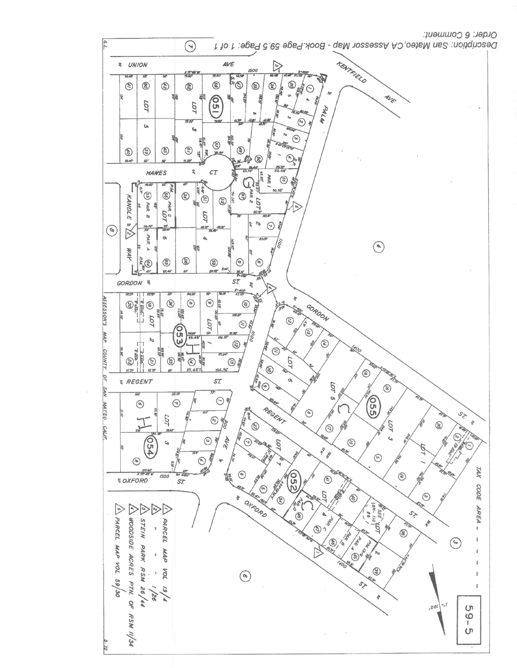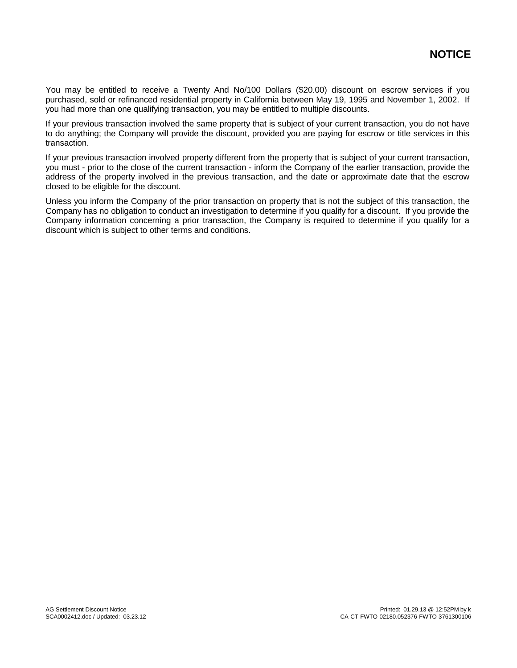You may be entitled to receive a Twenty And No/100 Dollars (\$20.00) discount on escrow services if you purchased, sold or refinanced residential property in California between May 19, 1995 and November 1, 2002. If you had more than one qualifying transaction, you may be entitled to multiple discounts.

If your previous transaction involved the same property that is subject of your current transaction, you do not have to do anything; the Company will provide the discount, provided you are paying for escrow or title services in this transaction.

If your previous transaction involved property different from the property that is subject of your current transaction, you must - prior to the close of the current transaction - inform the Company of the earlier transaction, provide the address of the property involved in the previous transaction, and the date or approximate date that the escrow closed to be eligible for the discount.

Unless you inform the Company of the prior transaction on property that is not the subject of this transaction, the Company has no obligation to conduct an investigation to determine if you qualify for a discount. If you provide the Company information concerning a prior transaction, the Company is required to determine if you qualify for a discount which is subject to other terms and conditions.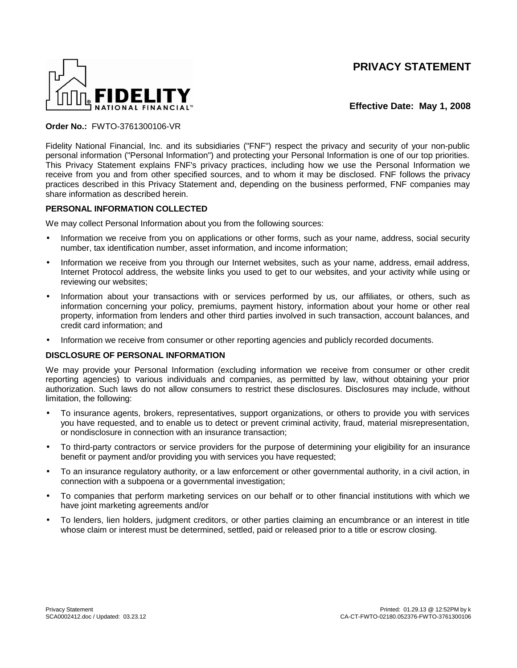

## **PRIVACY STATEMENT**

## **Effective Date: May 1, 2008**

## **Order No.:** FWTO-3761300106-VR

Fidelity National Financial, Inc. and its subsidiaries ("FNF") respect the privacy and security of your non-public personal information ("Personal Information") and protecting your Personal Information is one of our top priorities. This Privacy Statement explains FNF's privacy practices, including how we use the Personal Information we receive from you and from other specified sources, and to whom it may be disclosed. FNF follows the privacy practices described in this Privacy Statement and, depending on the business performed, FNF companies may share information as described herein.

## **PERSONAL INFORMATION COLLECTED**

We may collect Personal Information about you from the following sources:

- Information we receive from you on applications or other forms, such as your name, address, social security number, tax identification number, asset information, and income information;
- Information we receive from you through our Internet websites, such as your name, address, email address, Internet Protocol address, the website links you used to get to our websites, and your activity while using or reviewing our websites;
- Information about your transactions with or services performed by us, our affiliates, or others, such as information concerning your policy, premiums, payment history, information about your home or other real property, information from lenders and other third parties involved in such transaction, account balances, and credit card information; and
- Information we receive from consumer or other reporting agencies and publicly recorded documents.

## **DISCLOSURE OF PERSONAL INFORMATION**

We may provide your Personal Information (excluding information we receive from consumer or other credit reporting agencies) to various individuals and companies, as permitted by law, without obtaining your prior authorization. Such laws do not allow consumers to restrict these disclosures. Disclosures may include, without limitation, the following:

- To insurance agents, brokers, representatives, support organizations, or others to provide you with services you have requested, and to enable us to detect or prevent criminal activity, fraud, material misrepresentation, or nondisclosure in connection with an insurance transaction;
- To third-party contractors or service providers for the purpose of determining your eligibility for an insurance benefit or payment and/or providing you with services you have requested;
- To an insurance regulatory authority, or a law enforcement or other governmental authority, in a civil action, in connection with a subpoena or a governmental investigation;
- To companies that perform marketing services on our behalf or to other financial institutions with which we have joint marketing agreements and/or
- To lenders, lien holders, judgment creditors, or other parties claiming an encumbrance or an interest in title whose claim or interest must be determined, settled, paid or released prior to a title or escrow closing.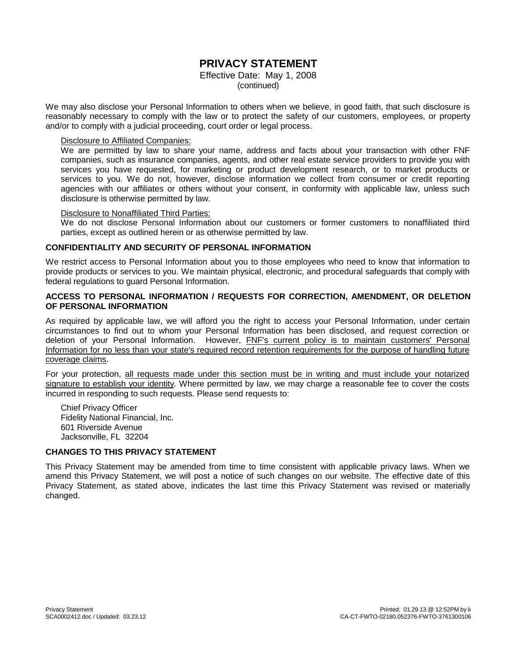## **PRIVACY STATEMENT**

Effective Date: May 1, 2008 (continued)

We may also disclose your Personal Information to others when we believe, in good faith, that such disclosure is reasonably necessary to comply with the law or to protect the safety of our customers, employees, or property and/or to comply with a judicial proceeding, court order or legal process.

## Disclosure to Affiliated Companies:

We are permitted by law to share your name, address and facts about your transaction with other FNF companies, such as insurance companies, agents, and other real estate service providers to provide you with services you have requested, for marketing or product development research, or to market products or services to you. We do not, however, disclose information we collect from consumer or credit reporting agencies with our affiliates or others without your consent, in conformity with applicable law, unless such disclosure is otherwise permitted by law.

#### Disclosure to Nonaffiliated Third Parties:

We do not disclose Personal Information about our customers or former customers to nonaffiliated third parties, except as outlined herein or as otherwise permitted by law.

## **CONFIDENTIALITY AND SECURITY OF PERSONAL INFORMATION**

We restrict access to Personal Information about you to those employees who need to know that information to provide products or services to you. We maintain physical, electronic, and procedural safeguards that comply with federal regulations to guard Personal Information.

## **ACCESS TO PERSONAL INFORMATION / REQUESTS FOR CORRECTION, AMENDMENT, OR DELETION OF PERSONAL INFORMATION**

As required by applicable law, we will afford you the right to access your Personal Information, under certain circumstances to find out to whom your Personal Information has been disclosed, and request correction or deletion of your Personal Information. However, FNF's current policy is to maintain customers' Personal Information for no less than your state's required record retention requirements for the purpose of handling future coverage claims.

For your protection, all requests made under this section must be in writing and must include your notarized signature to establish your identity. Where permitted by law, we may charge a reasonable fee to cover the costs incurred in responding to such requests. Please send requests to:

Chief Privacy Officer Fidelity National Financial, Inc. 601 Riverside Avenue Jacksonville, FL 32204

## **CHANGES TO THIS PRIVACY STATEMENT**

This Privacy Statement may be amended from time to time consistent with applicable privacy laws. When we amend this Privacy Statement, we will post a notice of such changes on our website. The effective date of this Privacy Statement, as stated above, indicates the last time this Privacy Statement was revised or materially changed.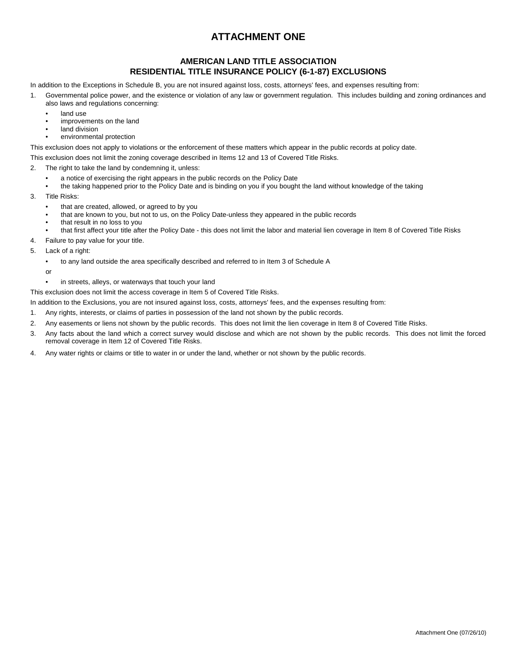## **ATTACHMENT ONE**

## **AMERICAN LAND TITLE ASSOCIATION RESIDENTIAL TITLE INSURANCE POLICY (6-1-87) EXCLUSIONS**

In addition to the Exceptions in Schedule B, you are not insured against loss, costs, attorneys' fees, and expenses resulting from:

- 1. Governmental police power, and the existence or violation of any law or government regulation. This includes building and zoning ordinances and also laws and regulations concerning:
	- land use
	- improvements on the land
	- land division
	- environmental protection

This exclusion does not apply to violations or the enforcement of these matters which appear in the public records at policy date.

This exclusion does not limit the zoning coverage described in Items 12 and 13 of Covered Title Risks.

- 2. The right to take the land by condemning it, unless:
	- a notice of exercising the right appears in the public records on the Policy Date
	- the taking happened prior to the Policy Date and is binding on you if you bought the land without knowledge of the taking
- 3. Title Risks:
	- that are created, allowed, or agreed to by you
	- that are known to you, but not to us, on the Policy Date-unless they appeared in the public records
	- that result in no loss to you
	- that first affect your title after the Policy Date this does not limit the labor and material lien coverage in Item 8 of Covered Title Risks
- 4. Failure to pay value for your title.
- 5. Lack of a right:
	- to any land outside the area specifically described and referred to in Item 3 of Schedule A
	- or
		- in streets, alleys, or waterways that touch your land

This exclusion does not limit the access coverage in Item 5 of Covered Title Risks.

In addition to the Exclusions, you are not insured against loss, costs, attorneys' fees, and the expenses resulting from:

- 1. Any rights, interests, or claims of parties in possession of the land not shown by the public records.
- 2. Any easements or liens not shown by the public records. This does not limit the lien coverage in Item 8 of Covered Title Risks.
- 3. Any facts about the land which a correct survey would disclose and which are not shown by the public records. This does not limit the forced removal coverage in Item 12 of Covered Title Risks.
- 4. Any water rights or claims or title to water in or under the land, whether or not shown by the public records.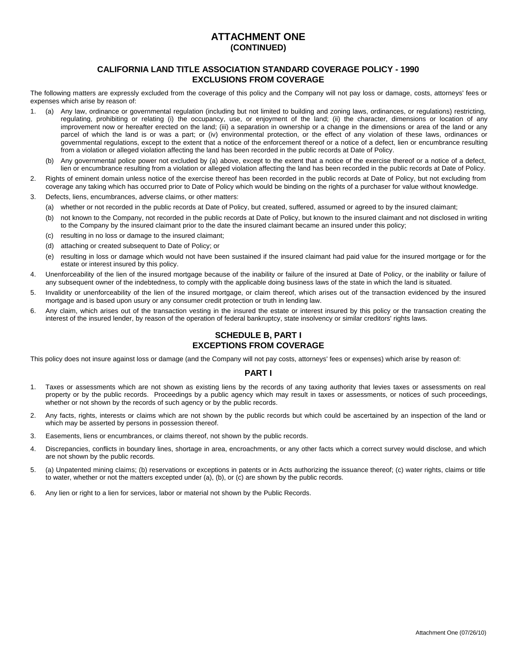#### **CALIFORNIA LAND TITLE ASSOCIATION STANDARD COVERAGE POLICY - 1990 EXCLUSIONS FROM COVERAGE**

The following matters are expressly excluded from the coverage of this policy and the Company will not pay loss or damage, costs, attorneys' fees or expenses which arise by reason of:

- 1. (a) Any law, ordinance or governmental regulation (including but not limited to building and zoning laws, ordinances, or regulations) restricting, regulating, prohibiting or relating (i) the occupancy, use, or enjoyment of the land; (ii) the character, dimensions or location of any improvement now or hereafter erected on the land; (iii) a separation in ownership or a change in the dimensions or area of the land or any parcel of which the land is or was a part; or (iv) environmental protection, or the effect of any violation of these laws, ordinances or governmental regulations, except to the extent that a notice of the enforcement thereof or a notice of a defect, lien or encumbrance resulting from a violation or alleged violation affecting the land has been recorded in the public records at Date of Policy.
	- (b) Any governmental police power not excluded by (a) above, except to the extent that a notice of the exercise thereof or a notice of a defect, lien or encumbrance resulting from a violation or alleged violation affecting the land has been recorded in the public records at Date of Policy.
- 2. Rights of eminent domain unless notice of the exercise thereof has been recorded in the public records at Date of Policy, but not excluding from coverage any taking which has occurred prior to Date of Policy which would be binding on the rights of a purchaser for value without knowledge.
- 3. Defects, liens, encumbrances, adverse claims, or other matters:
	- (a) whether or not recorded in the public records at Date of Policy, but created, suffered, assumed or agreed to by the insured claimant;
	- (b) not known to the Company, not recorded in the public records at Date of Policy, but known to the insured claimant and not disclosed in writing to the Company by the insured claimant prior to the date the insured claimant became an insured under this policy;
	- (c) resulting in no loss or damage to the insured claimant;
	- (d) attaching or created subsequent to Date of Policy; or
	- (e) resulting in loss or damage which would not have been sustained if the insured claimant had paid value for the insured mortgage or for the estate or interest insured by this policy.
- 4. Unenforceability of the lien of the insured mortgage because of the inability or failure of the insured at Date of Policy, or the inability or failure of any subsequent owner of the indebtedness, to comply with the applicable doing business laws of the state in which the land is situated.
- 5. Invalidity or unenforceability of the lien of the insured mortgage, or claim thereof, which arises out of the transaction evidenced by the insured mortgage and is based upon usury or any consumer credit protection or truth in lending law.
- 6. Any claim, which arises out of the transaction vesting in the insured the estate or interest insured by this policy or the transaction creating the interest of the insured lender, by reason of the operation of federal bankruptcy, state insolvency or similar creditors' rights laws.

## **SCHEDULE B, PART I EXCEPTIONS FROM COVERAGE**

This policy does not insure against loss or damage (and the Company will not pay costs, attorneys' fees or expenses) which arise by reason of:

#### **PART I**

- 1. Taxes or assessments which are not shown as existing liens by the records of any taxing authority that levies taxes or assessments on real property or by the public records. Proceedings by a public agency which may result in taxes or assessments, or notices of such proceedings, whether or not shown by the records of such agency or by the public records.
- 2. Any facts, rights, interests or claims which are not shown by the public records but which could be ascertained by an inspection of the land or which may be asserted by persons in possession thereof.
- 3. Easements, liens or encumbrances, or claims thereof, not shown by the public records.
- 4. Discrepancies, conflicts in boundary lines, shortage in area, encroachments, or any other facts which a correct survey would disclose, and which are not shown by the public records.
- 5. (a) Unpatented mining claims; (b) reservations or exceptions in patents or in Acts authorizing the issuance thereof; (c) water rights, claims or title to water, whether or not the matters excepted under (a), (b), or (c) are shown by the public records.
- 6. Any lien or right to a lien for services, labor or material not shown by the Public Records.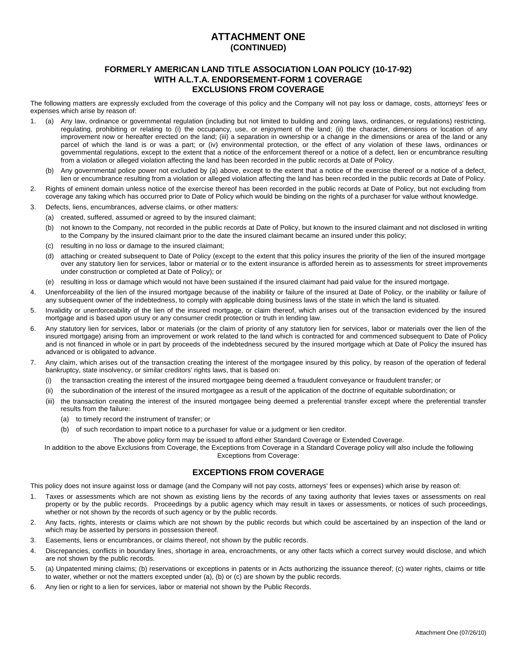#### **FORMERLY AMERICAN LAND TITLE ASSOCIATION LOAN POLICY (10-17-92) WITH A.L.T.A. ENDORSEMENT-FORM 1 COVERAGE EXCLUSIONS FROM COVERAGE**

The following matters are expressly excluded from the coverage of this policy and the Company will not pay loss or damage, costs, attorneys' fees or expenses which arise by reason of:

- 1. (a) Any law, ordinance or governmental regulation (including but not limited to building and zoning laws, ordinances, or regulations) restricting, regulating, prohibiting or relating to (i) the occupancy, use, or enjoyment of the land; (ii) the character, dimensions or location of any improvement now or hereafter erected on the land; (iii) a separation in ownership or a change in the dimensions or area of the land or any parcel of which the land is or was a part; or (iv) environmental protection, or the effect of any violation of these laws, ordinances or governmental regulations, except to the extent that a notice of the enforcement thereof or a notice of a defect, lien or encumbrance resulting from a violation or alleged violation affecting the land has been recorded in the public records at Date of Policy.
	- (b) Any governmental police power not excluded by (a) above, except to the extent that a notice of the exercise thereof or a notice of a defect, lien or encumbrance resulting from a violation or alleged violation affecting the land has been recorded in the public records at Date of Policy.
- 2. Rights of eminent domain unless notice of the exercise thereof has been recorded in the public records at Date of Policy, but not excluding from coverage any taking which has occurred prior to Date of Policy which would be binding on the rights of a purchaser for value without knowledge.
- 3. Defects, liens, encumbrances, adverse claims, or other matters:
	- (a) created, suffered, assumed or agreed to by the insured claimant;
		- (b) not known to the Company, not recorded in the public records at Date of Policy, but known to the insured claimant and not disclosed in writing to the Company by the insured claimant prior to the date the insured claimant became an insured under this policy;
		- (c) resulting in no loss or damage to the insured claimant;
		- (d) attaching or created subsequent to Date of Policy (except to the extent that this policy insures the priority of the lien of the insured mortgage over any statutory lien for services, labor or material or to the extent insurance is afforded herein as to assessments for street improvements under construction or completed at Date of Policy); or
		- (e) resulting in loss or damage which would not have been sustained if the insured claimant had paid value for the insured mortgage.
- 4. Unenforceability of the lien of the insured mortgage because of the inability or failure of the insured at Date of Policy, or the inability or failure of any subsequent owner of the indebtedness, to comply with applicable doing business laws of the state in which the land is situated.
- 5. Invalidity or unenforceability of the lien of the insured mortgage, or claim thereof, which arises out of the transaction evidenced by the insured mortgage and is based upon usury or any consumer credit protection or truth in lending law.
- 6. Any statutory lien for services, labor or materials (or the claim of priority of any statutory lien for services, labor or materials over the lien of the insured mortgage) arising from an improvement or work related to the land which is contracted for and commenced subsequent to Date of Policy and is not financed in whole or in part by proceeds of the indebtedness secured by the insured mortgage which at Date of Policy the insured has advanced or is obligated to advance.
- Any claim, which arises out of the transaction creating the interest of the mortgagee insured by this policy, by reason of the operation of federal bankruptcy, state insolvency, or similar creditors' rights laws, that is based on:
	- (i) the transaction creating the interest of the insured mortgagee being deemed a fraudulent conveyance or fraudulent transfer; or
	- (ii) the subordination of the interest of the insured mortgagee as a result of the application of the doctrine of equitable subordination; or
	- (iii) the transaction creating the interest of the insured mortgagee being deemed a preferential transfer except where the preferential transfer results from the failure:
		- (a) to timely record the instrument of transfer; or
		- (b) of such recordation to impart notice to a purchaser for value or a judgment or lien creditor.
			- The above policy form may be issued to afford either Standard Coverage or Extended Coverage.

In addition to the above Exclusions from Coverage, the Exceptions from Coverage in a Standard Coverage policy will also include the following Exceptions from Coverage:

## **EXCEPTIONS FROM COVERAGE**

This policy does not insure against loss or damage (and the Company will not pay costs, attorneys' fees or expenses) which arise by reason of:

- Taxes or assessments which are not shown as existing liens by the records of any taxing authority that levies taxes or assessments on real property or by the public records. Proceedings by a public agency which may result in taxes or assessments, or notices of such proceedings, whether or not shown by the records of such agency or by the public records.
- 2. Any facts, rights, interests or claims which are not shown by the public records but which could be ascertained by an inspection of the land or which may be asserted by persons in possession thereof.
- 3. Easements, liens or encumbrances, or claims thereof, not shown by the public records.
- 4. Discrepancies, conflicts in boundary lines, shortage in area, encroachments, or any other facts which a correct survey would disclose, and which are not shown by the public records.
- 5. (a) Unpatented mining claims; (b) reservations or exceptions in patents or in Acts authorizing the issuance thereof; (c) water rights, claims or title to water, whether or not the matters excepted under (a), (b) or (c) are shown by the public records.
- 6. Any lien or right to a lien for services, labor or material not shown by the Public Records.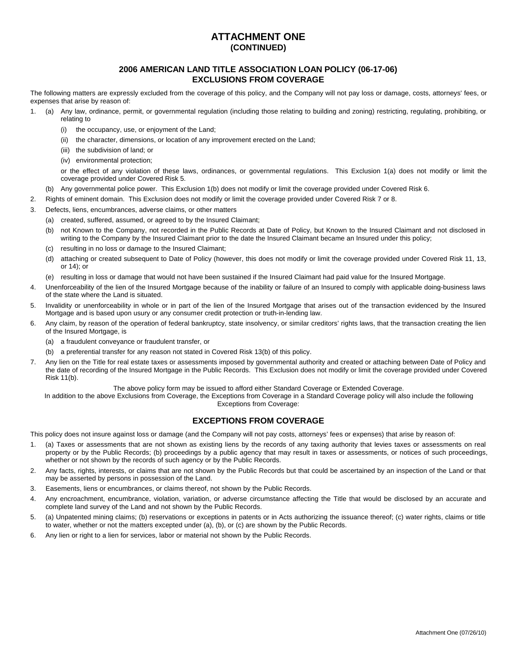#### **2006 AMERICAN LAND TITLE ASSOCIATION LOAN POLICY (06-17-06) EXCLUSIONS FROM COVERAGE**

The following matters are expressly excluded from the coverage of this policy, and the Company will not pay loss or damage, costs, attorneys' fees, or expenses that arise by reason of:

- 1. (a) Any law, ordinance, permit, or governmental regulation (including those relating to building and zoning) restricting, regulating, prohibiting, or relating to
	- (i) the occupancy, use, or enjoyment of the Land;
	- (ii) the character, dimensions, or location of any improvement erected on the Land;
	- (iii) the subdivision of land; or
	- (iv) environmental protection;

or the effect of any violation of these laws, ordinances, or governmental regulations. This Exclusion 1(a) does not modify or limit the coverage provided under Covered Risk 5.

- (b) Any governmental police power. This Exclusion 1(b) does not modify or limit the coverage provided under Covered Risk 6.
- 2. Rights of eminent domain. This Exclusion does not modify or limit the coverage provided under Covered Risk 7 or 8.
- 3. Defects, liens, encumbrances, adverse claims, or other matters
	- (a) created, suffered, assumed, or agreed to by the Insured Claimant;
	- (b) not Known to the Company, not recorded in the Public Records at Date of Policy, but Known to the Insured Claimant and not disclosed in writing to the Company by the Insured Claimant prior to the date the Insured Claimant became an Insured under this policy;
	- (c) resulting in no loss or damage to the Insured Claimant;
	- (d) attaching or created subsequent to Date of Policy (however, this does not modify or limit the coverage provided under Covered Risk 11, 13, or 14); or
	- (e) resulting in loss or damage that would not have been sustained if the Insured Claimant had paid value for the Insured Mortgage.
- 4. Unenforceability of the lien of the Insured Mortgage because of the inability or failure of an Insured to comply with applicable doing-business laws of the state where the Land is situated.
- 5. Invalidity or unenforceability in whole or in part of the lien of the Insured Mortgage that arises out of the transaction evidenced by the Insured Mortgage and is based upon usury or any consumer credit protection or truth-in-lending law.
- 6. Any claim, by reason of the operation of federal bankruptcy, state insolvency, or similar creditors' rights laws, that the transaction creating the lien of the Insured Mortgage, is
	- (a) a fraudulent conveyance or fraudulent transfer, or
	- (b) a preferential transfer for any reason not stated in Covered Risk 13(b) of this policy.
- 7. Any lien on the Title for real estate taxes or assessments imposed by governmental authority and created or attaching between Date of Policy and the date of recording of the Insured Mortgage in the Public Records. This Exclusion does not modify or limit the coverage provided under Covered Risk 11(b).

The above policy form may be issued to afford either Standard Coverage or Extended Coverage.

In addition to the above Exclusions from Coverage, the Exceptions from Coverage in a Standard Coverage policy will also include the following Exceptions from Coverage:

#### **EXCEPTIONS FROM COVERAGE**

This policy does not insure against loss or damage (and the Company will not pay costs, attorneys' fees or expenses) that arise by reason of:

- 1. (a) Taxes or assessments that are not shown as existing liens by the records of any taxing authority that levies taxes or assessments on real property or by the Public Records; (b) proceedings by a public agency that may result in taxes or assessments, or notices of such proceedings, whether or not shown by the records of such agency or by the Public Records.
- 2. Any facts, rights, interests, or claims that are not shown by the Public Records but that could be ascertained by an inspection of the Land or that may be asserted by persons in possession of the Land.
- 3. Easements, liens or encumbrances, or claims thereof, not shown by the Public Records.
- 4. Any encroachment, encumbrance, violation, variation, or adverse circumstance affecting the Title that would be disclosed by an accurate and complete land survey of the Land and not shown by the Public Records.
- 5. (a) Unpatented mining claims; (b) reservations or exceptions in patents or in Acts authorizing the issuance thereof; (c) water rights, claims or title to water, whether or not the matters excepted under (a), (b), or (c) are shown by the Public Records.
- 6. Any lien or right to a lien for services, labor or material not shown by the Public Records.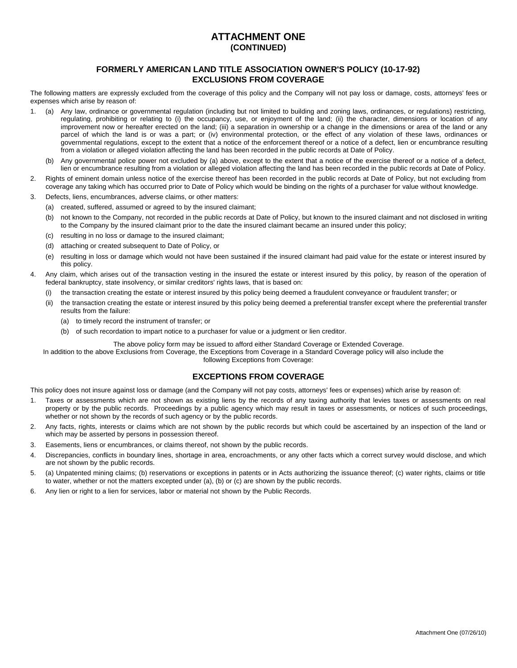#### **FORMERLY AMERICAN LAND TITLE ASSOCIATION OWNER'S POLICY (10-17-92) EXCLUSIONS FROM COVERAGE**

The following matters are expressly excluded from the coverage of this policy and the Company will not pay loss or damage, costs, attorneys' fees or expenses which arise by reason of:

- 1. (a) Any law, ordinance or governmental regulation (including but not limited to building and zoning laws, ordinances, or regulations) restricting, regulating, prohibiting or relating to (i) the occupancy, use, or enjoyment of the land; (ii) the character, dimensions or location of any improvement now or hereafter erected on the land; (iii) a separation in ownership or a change in the dimensions or area of the land or any parcel of which the land is or was a part; or (iv) environmental protection, or the effect of any violation of these laws, ordinances or governmental regulations, except to the extent that a notice of the enforcement thereof or a notice of a defect, lien or encumbrance resulting from a violation or alleged violation affecting the land has been recorded in the public records at Date of Policy.
	- (b) Any governmental police power not excluded by (a) above, except to the extent that a notice of the exercise thereof or a notice of a defect, lien or encumbrance resulting from a violation or alleged violation affecting the land has been recorded in the public records at Date of Policy.
- 2. Rights of eminent domain unless notice of the exercise thereof has been recorded in the public records at Date of Policy, but not excluding from coverage any taking which has occurred prior to Date of Policy which would be binding on the rights of a purchaser for value without knowledge.
- 3. Defects, liens, encumbrances, adverse claims, or other matters:
	- (a) created, suffered, assumed or agreed to by the insured claimant;
	- (b) not known to the Company, not recorded in the public records at Date of Policy, but known to the insured claimant and not disclosed in writing to the Company by the insured claimant prior to the date the insured claimant became an insured under this policy;
	- (c) resulting in no loss or damage to the insured claimant;
	- (d) attaching or created subsequent to Date of Policy, or
	- (e) resulting in loss or damage which would not have been sustained if the insured claimant had paid value for the estate or interest insured by this policy.
- 4. Any claim, which arises out of the transaction vesting in the insured the estate or interest insured by this policy, by reason of the operation of federal bankruptcy, state insolvency, or similar creditors' rights laws, that is based on:
	- (i) the transaction creating the estate or interest insured by this policy being deemed a fraudulent conveyance or fraudulent transfer; or
	- (ii) the transaction creating the estate or interest insured by this policy being deemed a preferential transfer except where the preferential transfer results from the failure:
		- (a) to timely record the instrument of transfer; or
		- (b) of such recordation to impart notice to a purchaser for value or a judgment or lien creditor.

The above policy form may be issued to afford either Standard Coverage or Extended Coverage.

In addition to the above Exclusions from Coverage, the Exceptions from Coverage in a Standard Coverage policy will also include the following Exceptions from Coverage:

#### **EXCEPTIONS FROM COVERAGE**

This policy does not insure against loss or damage (and the Company will not pay costs, attorneys' fees or expenses) which arise by reason of:

- 1. Taxes or assessments which are not shown as existing liens by the records of any taxing authority that levies taxes or assessments on real property or by the public records. Proceedings by a public agency which may result in taxes or assessments, or notices of such proceedings, whether or not shown by the records of such agency or by the public records.
- 2. Any facts, rights, interests or claims which are not shown by the public records but which could be ascertained by an inspection of the land or which may be asserted by persons in possession thereof.
- 3. Easements, liens or encumbrances, or claims thereof, not shown by the public records.
- 4. Discrepancies, conflicts in boundary lines, shortage in area, encroachments, or any other facts which a correct survey would disclose, and which are not shown by the public records.
- 5. (a) Unpatented mining claims; (b) reservations or exceptions in patents or in Acts authorizing the issuance thereof; (c) water rights, claims or title to water, whether or not the matters excepted under (a), (b) or (c) are shown by the public records.
- 6. Any lien or right to a lien for services, labor or material not shown by the Public Records.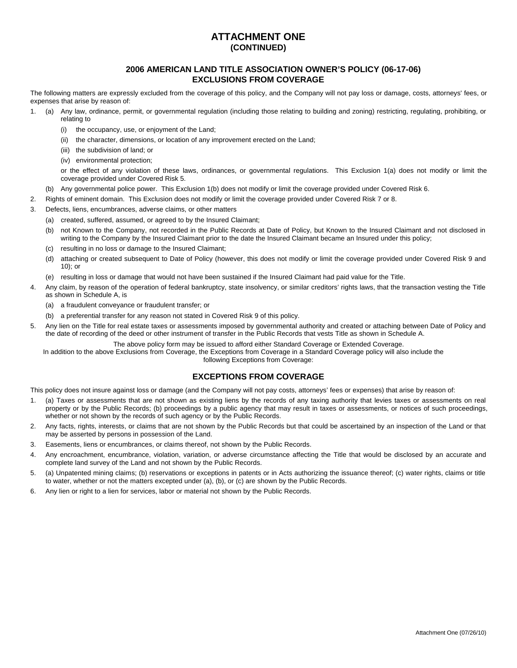#### **2006 AMERICAN LAND TITLE ASSOCIATION OWNER'S POLICY (06-17-06) EXCLUSIONS FROM COVERAGE**

The following matters are expressly excluded from the coverage of this policy, and the Company will not pay loss or damage, costs, attorneys' fees, or expenses that arise by reason of:

- 1. (a) Any law, ordinance, permit, or governmental regulation (including those relating to building and zoning) restricting, regulating, prohibiting, or relating to
	- (i) the occupancy, use, or enjoyment of the Land;
	- (ii) the character, dimensions, or location of any improvement erected on the Land;
	- (iii) the subdivision of land; or
	- (iv) environmental protection;

or the effect of any violation of these laws, ordinances, or governmental regulations. This Exclusion 1(a) does not modify or limit the coverage provided under Covered Risk 5.

- (b) Any governmental police power. This Exclusion 1(b) does not modify or limit the coverage provided under Covered Risk 6.
- 2. Rights of eminent domain. This Exclusion does not modify or limit the coverage provided under Covered Risk 7 or 8.
- 3. Defects, liens, encumbrances, adverse claims, or other matters
	- (a) created, suffered, assumed, or agreed to by the Insured Claimant;
	- (b) not Known to the Company, not recorded in the Public Records at Date of Policy, but Known to the Insured Claimant and not disclosed in writing to the Company by the Insured Claimant prior to the date the Insured Claimant became an Insured under this policy;
	- (c) resulting in no loss or damage to the Insured Claimant;
	- (d) attaching or created subsequent to Date of Policy (however, this does not modify or limit the coverage provided under Covered Risk 9 and 10); or
	- (e) resulting in loss or damage that would not have been sustained if the Insured Claimant had paid value for the Title.
- 4. Any claim, by reason of the operation of federal bankruptcy, state insolvency, or similar creditors' rights laws, that the transaction vesting the Title as shown in Schedule A, is
	- (a) a fraudulent conveyance or fraudulent transfer; or
	- (b) a preferential transfer for any reason not stated in Covered Risk 9 of this policy.
- 5. Any lien on the Title for real estate taxes or assessments imposed by governmental authority and created or attaching between Date of Policy and the date of recording of the deed or other instrument of transfer in the Public Records that vests Title as shown in Schedule A.

The above policy form may be issued to afford either Standard Coverage or Extended Coverage.

In addition to the above Exclusions from Coverage, the Exceptions from Coverage in a Standard Coverage policy will also include the following Exceptions from Coverage:

## **EXCEPTIONS FROM COVERAGE**

This policy does not insure against loss or damage (and the Company will not pay costs, attorneys' fees or expenses) that arise by reason of:

- 1. (a) Taxes or assessments that are not shown as existing liens by the records of any taxing authority that levies taxes or assessments on real property or by the Public Records; (b) proceedings by a public agency that may result in taxes or assessments, or notices of such proceedings, whether or not shown by the records of such agency or by the Public Records.
- 2. Any facts, rights, interests, or claims that are not shown by the Public Records but that could be ascertained by an inspection of the Land or that may be asserted by persons in possession of the Land.
- 3. Easements, liens or encumbrances, or claims thereof, not shown by the Public Records.
- 4. Any encroachment, encumbrance, violation, variation, or adverse circumstance affecting the Title that would be disclosed by an accurate and complete land survey of the Land and not shown by the Public Records.
- 5. (a) Unpatented mining claims; (b) reservations or exceptions in patents or in Acts authorizing the issuance thereof; (c) water rights, claims or title to water, whether or not the matters excepted under (a), (b), or (c) are shown by the Public Records.
- 6. Any lien or right to a lien for services, labor or material not shown by the Public Records.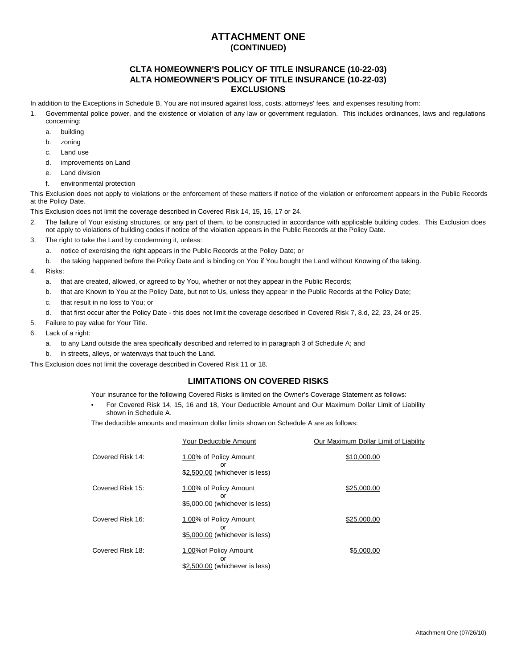## **CLTA HOMEOWNER'S POLICY OF TITLE INSURANCE (10-22-03) ALTA HOMEOWNER'S POLICY OF TITLE INSURANCE (10-22-03) EXCLUSIONS**

In addition to the Exceptions in Schedule B, You are not insured against loss, costs, attorneys' fees, and expenses resulting from:

- 1. Governmental police power, and the existence or violation of any law or government regulation. This includes ordinances, laws and regulations concerning:
	- a. building
	- b. zoning
	- c. Land use
	- d. improvements on Land
	- e. Land division
	- f. environmental protection

This Exclusion does not apply to violations or the enforcement of these matters if notice of the violation or enforcement appears in the Public Records at the Policy Date.

This Exclusion does not limit the coverage described in Covered Risk 14, 15, 16, 17 or 24.

- 2. The failure of Your existing structures, or any part of them, to be constructed in accordance with applicable building codes. This Exclusion does not apply to violations of building codes if notice of the violation appears in the Public Records at the Policy Date.
- 3. The right to take the Land by condemning it, unless:
	- a. notice of exercising the right appears in the Public Records at the Policy Date; or
	- b. the taking happened before the Policy Date and is binding on You if You bought the Land without Knowing of the taking.
- 4. Risks:
	- a. that are created, allowed, or agreed to by You, whether or not they appear in the Public Records;
	- b. that are Known to You at the Policy Date, but not to Us, unless they appear in the Public Records at the Policy Date;
	- c. that result in no loss to You; or
	- d. that first occur after the Policy Date this does not limit the coverage described in Covered Risk 7, 8.d, 22, 23, 24 or 25.
- 5. Failure to pay value for Your Title.
- 6. Lack of a right:
	- a. to any Land outside the area specifically described and referred to in paragraph 3 of Schedule A; and
	- b. in streets, alleys, or waterways that touch the Land.

This Exclusion does not limit the coverage described in Covered Risk 11 or 18.

#### **LIMITATIONS ON COVERED RISKS**

Your insurance for the following Covered Risks is limited on the Owner's Coverage Statement as follows:

• For Covered Risk 14, 15, 16 and 18, Your Deductible Amount and Our Maximum Dollar Limit of Liability shown in Schedule A.

The deductible amounts and maximum dollar limits shown on Schedule A are as follows:

|                  | Your Deductible Amount                                         | Our Maximum Dollar Limit of Liability |
|------------------|----------------------------------------------------------------|---------------------------------------|
| Covered Risk 14: | 1.00% of Policy Amount<br>or<br>\$2,500.00 (whichever is less) | \$10,000.00                           |
| Covered Risk 15: | 1.00% of Policy Amount<br>or<br>\$5,000.00 (whichever is less) | \$25,000.00                           |
| Covered Risk 16: | 1.00% of Policy Amount<br>or<br>\$5,000.00 (whichever is less) | \$25,000.00                           |
| Covered Risk 18: | 1.00% of Policy Amount<br>or<br>\$2,500.00 (whichever is less) | \$5,000.00                            |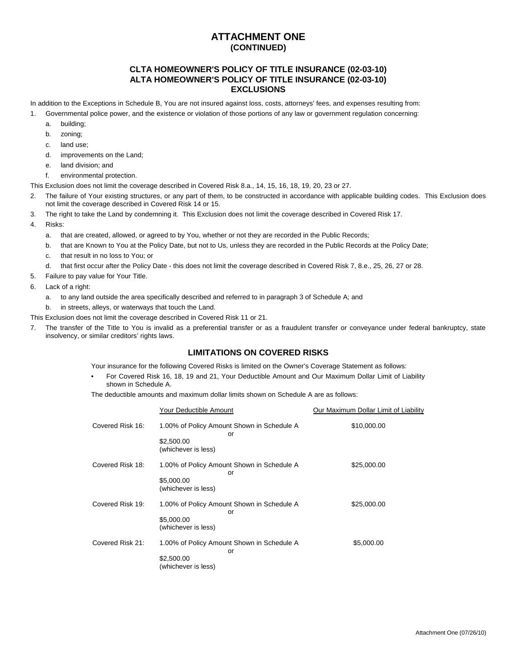## **CLTA HOMEOWNER'S POLICY OF TITLE INSURANCE (02-03-10) ALTA HOMEOWNER'S POLICY OF TITLE INSURANCE (02-03-10) EXCLUSIONS**

In addition to the Exceptions in Schedule B, You are not insured against loss, costs, attorneys' fees, and expenses resulting from:

- 1. Governmental police power, and the existence or violation of those portions of any law or government regulation concerning:
	- a. building;
	- b. zoning;
	- c. land use;
	- d. improvements on the Land;
	- e. land division; and
	- f. environmental protection.

This Exclusion does not limit the coverage described in Covered Risk 8.a., 14, 15, 16, 18, 19, 20, 23 or 27.

- 2. The failure of Your existing structures, or any part of them, to be constructed in accordance with applicable building codes. This Exclusion does not limit the coverage described in Covered Risk 14 or 15.
- 3. The right to take the Land by condemning it. This Exclusion does not limit the coverage described in Covered Risk 17.
- 4. Risks:
	- a. that are created, allowed, or agreed to by You, whether or not they are recorded in the Public Records;
	- b. that are Known to You at the Policy Date, but not to Us, unless they are recorded in the Public Records at the Policy Date;
	- c. that result in no loss to You; or
	- d. that first occur after the Policy Date this does not limit the coverage described in Covered Risk 7, 8.e., 25, 26, 27 or 28.
- 5. Failure to pay value for Your Title.
- 6. Lack of a right:
	- a. to any land outside the area specifically described and referred to in paragraph 3 of Schedule A; and
	- b. in streets, alleys, or waterways that touch the Land.
- This Exclusion does not limit the coverage described in Covered Risk 11 or 21.
- 7. The transfer of the Title to You is invalid as a preferential transfer or as a fraudulent transfer or conveyance under federal bankruptcy, state insolvency, or similar creditors' rights laws.

## **LIMITATIONS ON COVERED RISKS**

Your insurance for the following Covered Risks is limited on the Owner's Coverage Statement as follows:

• For Covered Risk 16, 18, 19 and 21, Your Deductible Amount and Our Maximum Dollar Limit of Liability shown in Schedule A.

The deductible amounts and maximum dollar limits shown on Schedule A are as follows:

|                  | Your Deductible Amount                                                                | Our Maximum Dollar Limit of Liability |
|------------------|---------------------------------------------------------------------------------------|---------------------------------------|
| Covered Risk 16: | 1.00% of Policy Amount Shown in Schedule A<br>or<br>\$2,500.00<br>(whichever is less) | \$10,000.00                           |
| Covered Risk 18: | 1.00% of Policy Amount Shown in Schedule A<br>or<br>\$5,000.00<br>(whichever is less) | \$25,000.00                           |
| Covered Risk 19: | 1.00% of Policy Amount Shown in Schedule A<br>or<br>\$5,000.00<br>(whichever is less) | \$25,000.00                           |
| Covered Risk 21: | 1.00% of Policy Amount Shown in Schedule A<br>or<br>\$2,500.00<br>(whichever is less) | \$5,000.00                            |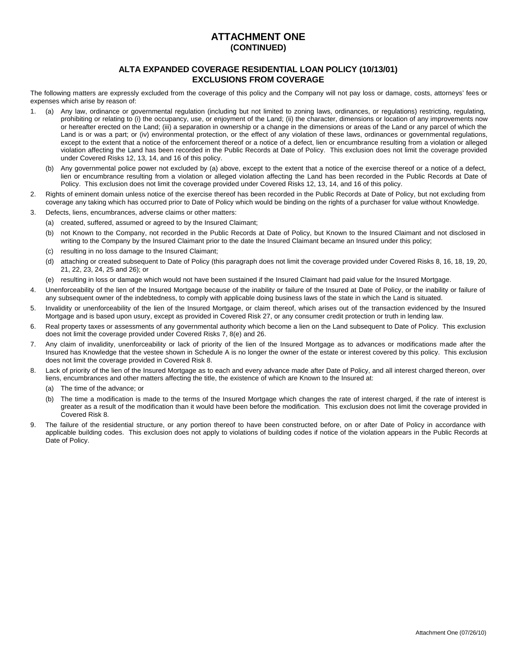#### **ALTA EXPANDED COVERAGE RESIDENTIAL LOAN POLICY (10/13/01) EXCLUSIONS FROM COVERAGE**

The following matters are expressly excluded from the coverage of this policy and the Company will not pay loss or damage, costs, attorneys' fees or expenses which arise by reason of:

- 1. (a) Any law, ordinance or governmental regulation (including but not limited to zoning laws, ordinances, or regulations) restricting, regulating, prohibiting or relating to (i) the occupancy, use, or enjoyment of the Land; (ii) the character, dimensions or location of any improvements now or hereafter erected on the Land; (iii) a separation in ownership or a change in the dimensions or areas of the Land or any parcel of which the Land is or was a part; or (iv) environmental protection, or the effect of any violation of these laws, ordinances or governmental regulations, except to the extent that a notice of the enforcement thereof or a notice of a defect, lien or encumbrance resulting from a violation or alleged violation affecting the Land has been recorded in the Public Records at Date of Policy. This exclusion does not limit the coverage provided under Covered Risks 12, 13, 14, and 16 of this policy.
	- (b) Any governmental police power not excluded by (a) above, except to the extent that a notice of the exercise thereof or a notice of a defect, lien or encumbrance resulting from a violation or alleged violation affecting the Land has been recorded in the Public Records at Date of Policy. This exclusion does not limit the coverage provided under Covered Risks 12, 13, 14, and 16 of this policy.
- 2. Rights of eminent domain unless notice of the exercise thereof has been recorded in the Public Records at Date of Policy, but not excluding from coverage any taking which has occurred prior to Date of Policy which would be binding on the rights of a purchaser for value without Knowledge.
- 3. Defects, liens, encumbrances, adverse claims or other matters:
	- (a) created, suffered, assumed or agreed to by the Insured Claimant;
	- (b) not Known to the Company, not recorded in the Public Records at Date of Policy, but Known to the Insured Claimant and not disclosed in writing to the Company by the Insured Claimant prior to the date the Insured Claimant became an Insured under this policy;
	- (c) resulting in no loss damage to the Insured Claimant;
	- (d) attaching or created subsequent to Date of Policy (this paragraph does not limit the coverage provided under Covered Risks 8, 16, 18, 19, 20, 21, 22, 23, 24, 25 and 26); or
	- (e) resulting in loss or damage which would not have been sustained if the Insured Claimant had paid value for the Insured Mortgage.
- 4. Unenforceability of the lien of the Insured Mortgage because of the inability or failure of the Insured at Date of Policy, or the inability or failure of any subsequent owner of the indebtedness, to comply with applicable doing business laws of the state in which the Land is situated.
- 5. Invalidity or unenforceability of the lien of the Insured Mortgage, or claim thereof, which arises out of the transaction evidenced by the Insured Mortgage and is based upon usury, except as provided in Covered Risk 27, or any consumer credit protection or truth in lending law.
- 6. Real property taxes or assessments of any governmental authority which become a lien on the Land subsequent to Date of Policy. This exclusion does not limit the coverage provided under Covered Risks 7, 8(e) and 26.
- 7. Any claim of invalidity, unenforceability or lack of priority of the lien of the Insured Mortgage as to advances or modifications made after the Insured has Knowledge that the vestee shown in Schedule A is no longer the owner of the estate or interest covered by this policy. This exclusion does not limit the coverage provided in Covered Risk 8.
- 8. Lack of priority of the lien of the Insured Mortgage as to each and every advance made after Date of Policy, and all interest charged thereon, over liens, encumbrances and other matters affecting the title, the existence of which are Known to the Insured at:
	- (a) The time of the advance; or
	- (b) The time a modification is made to the terms of the Insured Mortgage which changes the rate of interest charged, if the rate of interest is greater as a result of the modification than it would have been before the modification. This exclusion does not limit the coverage provided in Covered Risk 8.
- 9. The failure of the residential structure, or any portion thereof to have been constructed before, on or after Date of Policy in accordance with applicable building codes. This exclusion does not apply to violations of building codes if notice of the violation appears in the Public Records at Date of Policy.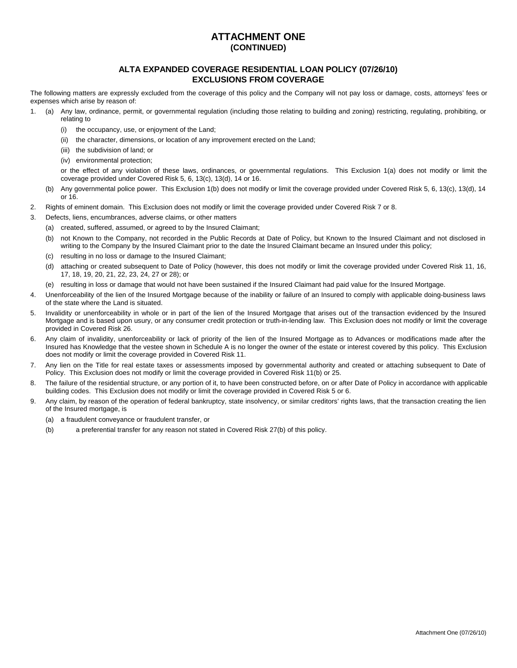#### **ALTA EXPANDED COVERAGE RESIDENTIAL LOAN POLICY (07/26/10) EXCLUSIONS FROM COVERAGE**

The following matters are expressly excluded from the coverage of this policy and the Company will not pay loss or damage, costs, attorneys' fees or expenses which arise by reason of:

- 1. (a) Any law, ordinance, permit, or governmental regulation (including those relating to building and zoning) restricting, regulating, prohibiting, or relating to
	- (i) the occupancy, use, or enjoyment of the Land;
	- (ii) the character, dimensions, or location of any improvement erected on the Land;
	- (iii) the subdivision of land; or
	- (iv) environmental protection;

or the effect of any violation of these laws, ordinances, or governmental regulations. This Exclusion 1(a) does not modify or limit the coverage provided under Covered Risk 5, 6, 13(c), 13(d), 14 or 16.

- (b) Any governmental police power. This Exclusion 1(b) does not modify or limit the coverage provided under Covered Risk 5, 6, 13(c), 13(d), 14 or 16.
- 2. Rights of eminent domain. This Exclusion does not modify or limit the coverage provided under Covered Risk 7 or 8.
- 3. Defects, liens, encumbrances, adverse claims, or other matters
	- (a) created, suffered, assumed, or agreed to by the Insured Claimant;
	- (b) not Known to the Company, not recorded in the Public Records at Date of Policy, but Known to the Insured Claimant and not disclosed in writing to the Company by the Insured Claimant prior to the date the Insured Claimant became an Insured under this policy;
	- (c) resulting in no loss or damage to the Insured Claimant;
	- (d) attaching or created subsequent to Date of Policy (however, this does not modify or limit the coverage provided under Covered Risk 11, 16, 17, 18, 19, 20, 21, 22, 23, 24, 27 or 28); or
	- (e) resulting in loss or damage that would not have been sustained if the Insured Claimant had paid value for the Insured Mortgage.
- 4. Unenforceability of the lien of the Insured Mortgage because of the inability or failure of an Insured to comply with applicable doing-business laws of the state where the Land is situated.
- 5. Invalidity or unenforceability in whole or in part of the lien of the Insured Mortgage that arises out of the transaction evidenced by the Insured Mortgage and is based upon usury, or any consumer credit protection or truth-in-lending law. This Exclusion does not modify or limit the coverage provided in Covered Risk 26.
- 6. Any claim of invalidity, unenforceability or lack of priority of the lien of the Insured Mortgage as to Advances or modifications made after the Insured has Knowledge that the vestee shown in Schedule A is no longer the owner of the estate or interest covered by this policy. This Exclusion does not modify or limit the coverage provided in Covered Risk 11.
- 7. Any lien on the Title for real estate taxes or assessments imposed by governmental authority and created or attaching subsequent to Date of Policy. This Exclusion does not modify or limit the coverage provided in Covered Risk 11(b) or 25.
- 8. The failure of the residential structure, or any portion of it, to have been constructed before, on or after Date of Policy in accordance with applicable building codes. This Exclusion does not modify or limit the coverage provided in Covered Risk 5 or 6.
- 9. Any claim, by reason of the operation of federal bankruptcy, state insolvency, or similar creditors' rights laws, that the transaction creating the lien of the Insured mortgage, is
	- (a) a fraudulent conveyance or fraudulent transfer, or
	- (b) a preferential transfer for any reason not stated in Covered Risk 27(b) of this policy.